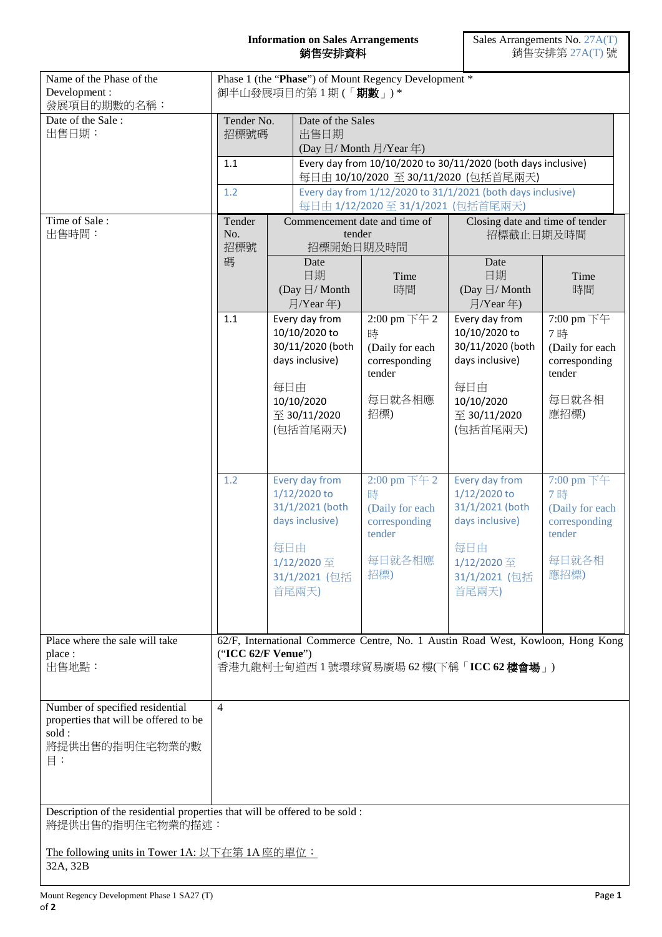## **Information on Sales Arrangements** 銷售安排資料

| Name of the Phase of the<br>Development:<br>發展項目的期數的名稱:                                                        | Phase 1 (the "Phase") of Mount Regency Development *<br>御半山發展項目的第1期(「期數」)*                                                                        |                                                                                                                         |                                                                                                                                                                                                                                                                                         |                                                                                  |                                                                                                                         |                                                                                 |  |
|----------------------------------------------------------------------------------------------------------------|---------------------------------------------------------------------------------------------------------------------------------------------------|-------------------------------------------------------------------------------------------------------------------------|-----------------------------------------------------------------------------------------------------------------------------------------------------------------------------------------------------------------------------------------------------------------------------------------|----------------------------------------------------------------------------------|-------------------------------------------------------------------------------------------------------------------------|---------------------------------------------------------------------------------|--|
| Date of the Sale:<br>出售日期:                                                                                     | Tender No.<br>招標號碼<br>1.1<br>1.2                                                                                                                  |                                                                                                                         | Date of the Sales<br>出售日期<br>(Day $\boxdot$ / Month $\frac{1}{2}$ /Year 年)<br>Every day from 10/10/2020 to 30/11/2020 (both days inclusive)<br>每日由 10/10/2020 至 30/11/2020 (包括首尾兩天)<br>Every day from 1/12/2020 to 31/1/2021 (both days inclusive)<br>每日由 1/12/2020至 31/1/2021 (包括首尾兩天) |                                                                                  |                                                                                                                         |                                                                                 |  |
| Time of Sale:<br>出售時間:                                                                                         | Tender<br>No.<br>招標號                                                                                                                              |                                                                                                                         | Commencement date and time of<br>tender<br>招標開始日期及時間                                                                                                                                                                                                                                    |                                                                                  | Closing date and time of tender<br>招標截止日期及時間                                                                            |                                                                                 |  |
|                                                                                                                | 碼                                                                                                                                                 |                                                                                                                         | Date<br>日期<br>(Day $\boxdot/$ Month<br>月/Year年)                                                                                                                                                                                                                                         | Time<br>時間                                                                       | Date<br>日期<br>(Day $\boxdot/$ Month<br>月/Year 年)                                                                        | Time<br>時間                                                                      |  |
| 1.1                                                                                                            |                                                                                                                                                   | Every day from<br>10/10/2020 to<br>30/11/2020 (both<br>days inclusive)<br>每日由<br>10/10/2020<br>至 30/11/2020<br>(包括首尾兩天) |                                                                                                                                                                                                                                                                                         | 2:00 pm 下午 2<br>時<br>(Daily for each<br>corresponding<br>tender<br>每日就各相應<br>招標) | Every day from<br>10/10/2020 to<br>30/11/2020 (both<br>days inclusive)<br>每日由<br>10/10/2020<br>至 30/11/2020<br>(包括首尾兩天) | 7:00 pm 下午<br>7時<br>(Daily for each<br>corresponding<br>tender<br>每日就各相<br>應招標) |  |
|                                                                                                                | 1.2                                                                                                                                               | 每日由                                                                                                                     | Every day from<br>1/12/2020 to<br>31/1/2021 (both<br>days inclusive)<br>1/12/2020 至<br>31/1/2021 (包括<br>首尾兩天)                                                                                                                                                                           | 2:00 pm 下午 2<br>時<br>(Daily for each<br>corresponding<br>tender<br>每日就各相應<br>招標) | Every day from<br>1/12/2020 to<br>31/1/2021 (both<br>days inclusive)<br>每日由<br>1/12/2020 至<br>31/1/2021 (包括<br>首尾兩天)    | 7:00 pm 下午<br>7時<br>(Daily for each<br>corresponding<br>tender<br>每日就各相<br>應招標) |  |
| Place where the sale will take<br>place:<br>出售地點:                                                              | 62/F, International Commerce Centre, No. 1 Austin Road West, Kowloon, Hong Kong<br>("ICC 62/F Venue")<br>香港九龍柯士甸道西 1 號環球貿易廣場 62 樓(下稱「ICC 62 樓會場」) |                                                                                                                         |                                                                                                                                                                                                                                                                                         |                                                                                  |                                                                                                                         |                                                                                 |  |
| Number of specified residential<br>properties that will be offered to be<br>sold:<br>將提供出售的指明住宅物業的數<br>$\Xi$ : | $\overline{4}$                                                                                                                                    |                                                                                                                         |                                                                                                                                                                                                                                                                                         |                                                                                  |                                                                                                                         |                                                                                 |  |
| Description of the residential properties that will be offered to be sold :<br>將提供出售的指明住宅物業的描述:                |                                                                                                                                                   |                                                                                                                         |                                                                                                                                                                                                                                                                                         |                                                                                  |                                                                                                                         |                                                                                 |  |
| The following units in Tower 1A: 以下在第 1A 座的單位:<br>32A, 32B                                                     |                                                                                                                                                   |                                                                                                                         |                                                                                                                                                                                                                                                                                         |                                                                                  |                                                                                                                         |                                                                                 |  |